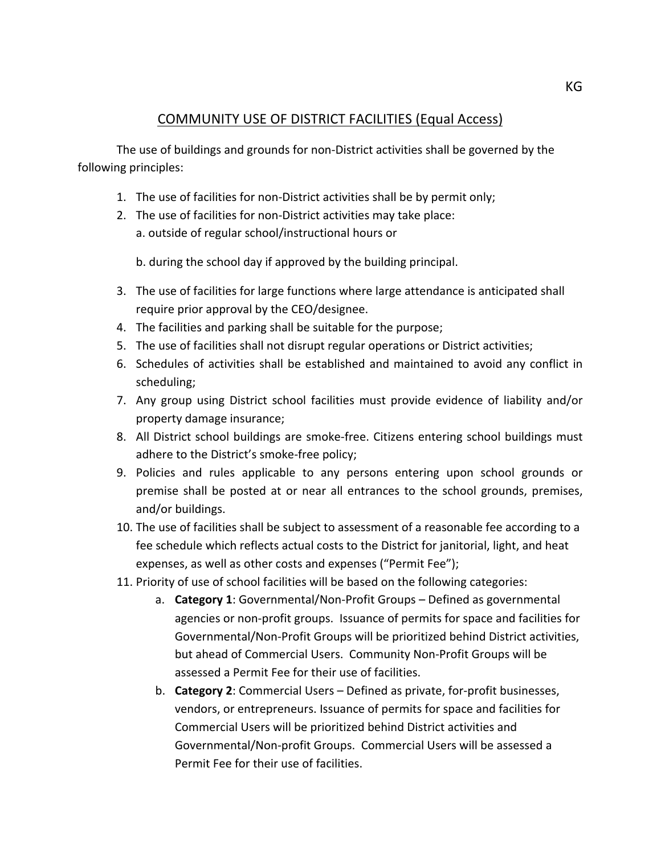## COMMUNITY USE OF DISTRICT FACILITIES (Equal Access)

The use of buildings and grounds for non-District activities shall be governed by the following principles:

- 1. The use of facilities for non-District activities shall be by permit only;
- 2. The use of facilities for non-District activities may take place: a. outside of regular school/instructional hours or

 b. during the school day if approved by the building principal.

- 3. The use of facilities for large functions where large attendance is anticipated shall require prior approval by the CEO/designee.
- 4. The facilities and parking shall be suitable for the purpose;
- 5. The use of facilities shall not disrupt regular operations or District activities;
- 6. Schedules of activities shall be established and maintained to avoid any conflict in scheduling;
- 7. Any group using District school facilities must provide evidence of liability and/or property damage insurance;
- 8. All District school buildings are smoke-free. Citizens entering school buildings must adhere to the District's smoke-free policy;
- 9. Policies and rules applicable to any persons entering upon school grounds or premise shall be posted at or near all entrances to the school grounds, premises, and/or buildings.
- 10. The use of facilities shall be subject to assessment of a reasonable fee according to a fee schedule which reflects actual costs to the District for janitorial, light, and heat expenses, as well as other costs and expenses ("Permit Fee");
- 11. Priority of use of school facilities will be based on the following categories:
	- a. **Category 1**: Governmental/Non-Profit Groups Defined as governmental agencies or non-profit groups. Issuance of permits for space and facilities for Governmental/Non-Profit Groups will be prioritized behind District activities, but ahead of Commercial Users. Community Non-Profit Groups will be assessed a Permit Fee for their use of facilities.
	- b. **Category 2**: Commercial Users Defined as private, for-profit businesses, vendors, or entrepreneurs. Issuance of permits for space and facilities for Commercial Users will be prioritized behind District activities and Governmental/Non-profit Groups. Commercial Users will be assessed a Permit Fee for their use of facilities.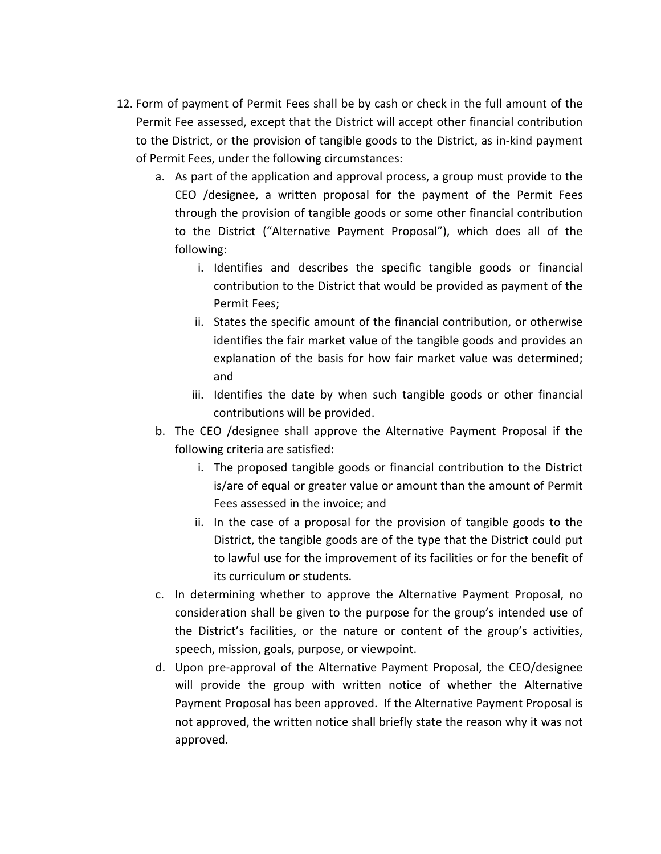- 12. Form of payment of Permit Fees shall be by cash or check in the full amount of the Permit Fee assessed, except that the District will accept other financial contribution to the District, or the provision of tangible goods to the District, as in-kind payment of Permit Fees, under the following circumstances:
	- a. As part of the application and approval process, a group must provide to the CEO /designee, a written proposal for the payment of the Permit Fees through the provision of tangible goods or some other financial contribution to the District ("Alternative Payment Proposal"), which does all of the following:
		- i. Identifies and describes the specific tangible goods or financial contribution to the District that would be provided as payment of the Permit Fees:
		- ii. States the specific amount of the financial contribution, or otherwise identifies the fair market value of the tangible goods and provides an explanation of the basis for how fair market value was determined; and
		- iii. Identifies the date by when such tangible goods or other financial contributions will be provided.
	- b. The CEO /designee shall approve the Alternative Payment Proposal if the following criteria are satisfied:
		- i. The proposed tangible goods or financial contribution to the District is/are of equal or greater value or amount than the amount of Permit Fees assessed in the invoice; and
		- ii. In the case of a proposal for the provision of tangible goods to the District, the tangible goods are of the type that the District could put to lawful use for the improvement of its facilities or for the benefit of its curriculum or students.
	- c. In determining whether to approve the Alternative Payment Proposal, no consideration shall be given to the purpose for the group's intended use of the District's facilities, or the nature or content of the group's activities, speech, mission, goals, purpose, or viewpoint.
	- d. Upon pre-approval of the Alternative Payment Proposal, the CEO/designee will provide the group with written notice of whether the Alternative Payment Proposal has been approved. If the Alternative Payment Proposal is not approved, the written notice shall briefly state the reason why it was not approved.